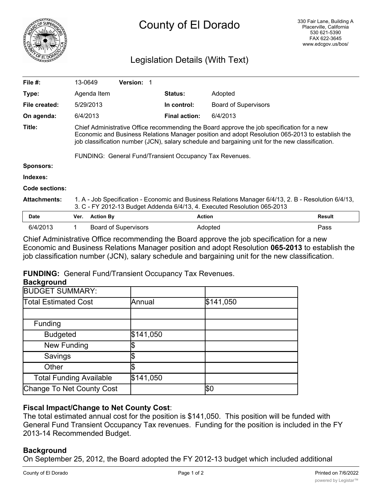

# Legislation Details (With Text)

| File $#$ :            | 13-0649                                                                                                                                                                                                                                                                                                                                                      |                  | <b>Version:</b>             |                      |                             |               |
|-----------------------|--------------------------------------------------------------------------------------------------------------------------------------------------------------------------------------------------------------------------------------------------------------------------------------------------------------------------------------------------------------|------------------|-----------------------------|----------------------|-----------------------------|---------------|
| Type:                 |                                                                                                                                                                                                                                                                                                                                                              | Agenda Item      |                             | <b>Status:</b>       | Adopted                     |               |
| File created:         |                                                                                                                                                                                                                                                                                                                                                              | 5/29/2013        |                             | In control:          | <b>Board of Supervisors</b> |               |
| On agenda:            | 6/4/2013                                                                                                                                                                                                                                                                                                                                                     |                  |                             | <b>Final action:</b> | 6/4/2013                    |               |
| Title:                | Chief Administrative Office recommending the Board approve the job specification for a new<br>Economic and Business Relations Manager position and adopt Resolution 065-2013 to establish the<br>job classification number (JCN), salary schedule and bargaining unit for the new classification.<br>FUNDING: General Fund/Transient Occupancy Tax Revenues. |                  |                             |                      |                             |               |
| <b>Sponsors:</b>      |                                                                                                                                                                                                                                                                                                                                                              |                  |                             |                      |                             |               |
|                       |                                                                                                                                                                                                                                                                                                                                                              |                  |                             |                      |                             |               |
| Indexes:              |                                                                                                                                                                                                                                                                                                                                                              |                  |                             |                      |                             |               |
| <b>Code sections:</b> |                                                                                                                                                                                                                                                                                                                                                              |                  |                             |                      |                             |               |
| <b>Attachments:</b>   | 1. A - Job Specification - Economic and Business Relations Manager 6/4/13, 2. B - Resolution 6/4/13,<br>3. C - FY 2012-13 Budget Addenda 6/4/13, 4. Executed Resolution 065-2013                                                                                                                                                                             |                  |                             |                      |                             |               |
| <b>Date</b>           | Ver.                                                                                                                                                                                                                                                                                                                                                         | <b>Action By</b> |                             | <b>Action</b>        |                             | <b>Result</b> |
| 6/4/2013              |                                                                                                                                                                                                                                                                                                                                                              |                  | <b>Board of Supervisors</b> |                      | Adopted                     | Pass          |

Chief Administrative Office recommending the Board approve the job specification for a new Economic and Business Relations Manager position and adopt Resolution **065-2013** to establish the job classification number (JCN), salary schedule and bargaining unit for the new classification.

### **FUNDING:** General Fund/Transient Occupancy Tax Revenues.

#### **Background**

| $         -$                   |           |            |
|--------------------------------|-----------|------------|
| <b>BUDGET SUMMARY:</b>         |           |            |
| <b>Total Estimated Cost</b>    | Annual    | \$141,050  |
|                                |           |            |
| Funding                        |           |            |
| <b>Budgeted</b>                | \$141,050 |            |
| New Funding                    |           |            |
| Savings                        |           |            |
| Other                          |           |            |
| <b>Total Funding Available</b> | \$141,050 |            |
| Change To Net County Cost      |           | <b>\$Ο</b> |

## **Fiscal Impact/Change to Net County Cost**:

The total estimated annual cost for the position is \$141,050. This position will be funded with General Fund Transient Occupancy Tax revenues. Funding for the position is included in the FY 2013-14 Recommended Budget.

### **Background**

On September 25, 2012, the Board adopted the FY 2012-13 budget which included additional